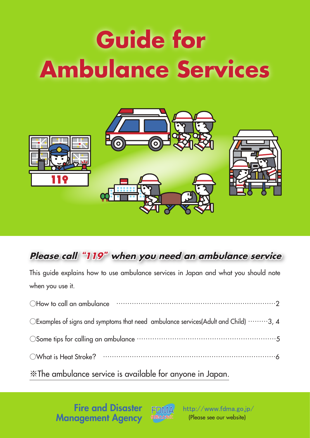# **Guide for Ambulance Services**



# **Please call "119" when you need an ambulance service**

This guide explains how to use ambulance services in Japan and what you should note when you use it. ○How to call an ambulance ………………………………………………………………2 OExamples of signs and symptoms that need ambulance services(Adult and Child) ………3, 4 ○Some tips for calling an ambulance ………………………………………………………5 ○What is Heat Stroke? ……………………………………………………………………6 ※The ambulance service is available for anyone in Japan.

> Fire and Disaster Management Agency



http://www.fdma.go.jp/ (Please see our website)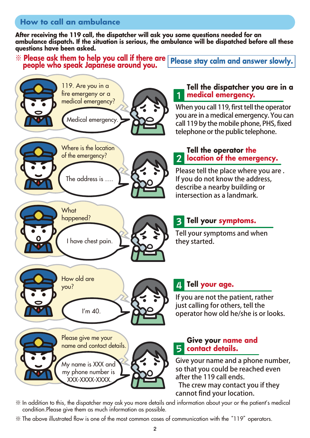## **How to call an ambulance**

**After receiving the 119 call, the dispatcher will ask you some questions needed for an ambulance dispatch. If the situation is serious, the ambulance will be dispatched before all these questions have been asked.** 

※ **Please ask them to help you call if there are Please ask them to help you call it there are please stay calm and answer slowly.**<br>people who speak Japanese around you.



※ In addition to this, the dispatcher may ask you more details and information about your or the patient's medical condition.Please give them as much information as possible.

※ The above illustrated flow is one of the most common cases of communication with the "119" operators.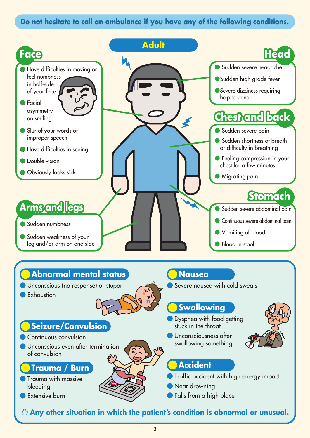### **Do not hesitate to call an ambulance if you have any of the following conditions.**

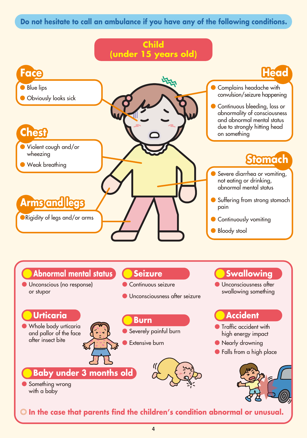## **Do not hesitate to call an ambulance if you have any of the following conditions.**

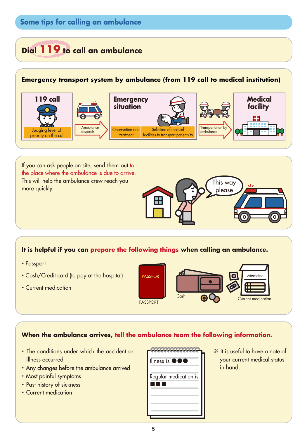## **Some tips for calling an ambulance**

## **Dial 119 to call an ambulance**

#### **Emergency transport system by ambulance (from 119 call to medical institution)**



If you can ask people on site, send them out to the place where the ambulance is due to arrive. This will help the ambulance crew reach you more quickly.

#### **It is helpful if you can prepare the following things when calling an ambulance.**

- ·Passport
- ·Cash/Credit card (to pay at the hospital)
- ·Current medication



This way please

#### **When the ambulance arrives, tell the ambulance team the following information.**

- ・The conditions under which the accident or illness occurred
- ・ Any changes before the ambulance arrived
- ・ Most painful symptoms
- ・Past history of sickness
- ・Current medication

| Illness is $\bullet \bullet \bullet$ |  |
|--------------------------------------|--|
| Regular medication is                |  |
|                                      |  |

※ It is useful to have a note of your current medical status in hand.